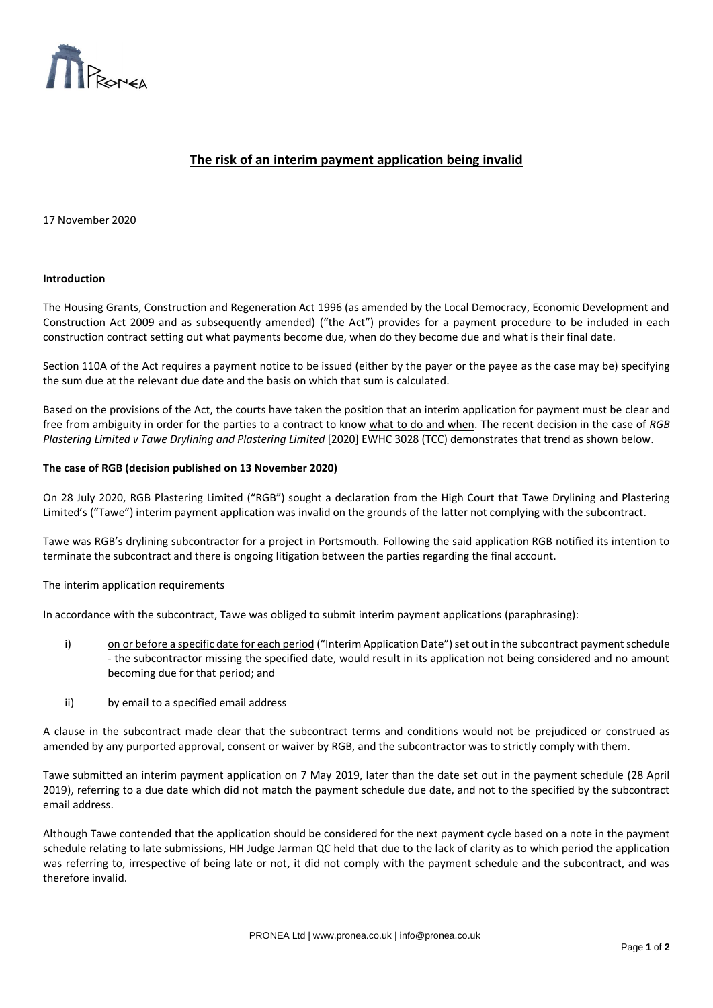

# **The risk of an interim payment application being invalid**

 $\overline{a}$ 

#### 17 November 2020

#### **Introduction**

The Housing Grants, Construction and Regeneration Act 1996 (as amended by the Local Democracy, Economic Development and Construction Act 2009 and as subsequently amended) ("the Act") provides for a payment procedure to be included in each construction contract setting out what payments become due, when do they become due and what is their final date.

Section 110A of the Act requires a payment notice to be issued (either by the payer or the payee as the case may be) specifying the sum due at the relevant due date and the basis on which that sum is calculated.

Based on the provisions of the Act, the courts have taken the position that an interim application for payment must be clear and free from ambiguity in order for the parties to a contract to know what to do and when. The recent decision in the case of *RGB Plastering Limited v Tawe Drylining and Plastering Limited* [2020] EWHC 3028 (TCC) demonstrates that trend as shown below.

#### **The case of RGB (decision published on 13 November 2020)**

On 28 July 2020, RGB Plastering Limited ("RGB") sought a declaration from the High Court that Tawe Drylining and Plastering Limited's ("Tawe") interim payment application was invalid on the grounds of the latter not complying with the subcontract.

Tawe was RGB's drylining subcontractor for a project in Portsmouth. Following the said application RGB notified its intention to terminate the subcontract and there is ongoing litigation between the parties regarding the final account.

# The interim application requirements

In accordance with the subcontract, Tawe was obliged to submit interim payment applications (paraphrasing):

- i) on or before a specific date for each period ("Interim Application Date") set out in the subcontract payment schedule - the subcontractor missing the specified date, would result in its application not being considered and no amount becoming due for that period; and
- ii) by email to a specified email address

A clause in the subcontract made clear that the subcontract terms and conditions would not be prejudiced or construed as amended by any purported approval, consent or waiver by RGB, and the subcontractor was to strictly comply with them.

Tawe submitted an interim payment application on 7 May 2019, later than the date set out in the payment schedule (28 April 2019), referring to a due date which did not match the payment schedule due date, and not to the specified by the subcontract email address.

Although Tawe contended that the application should be considered for the next payment cycle based on a note in the payment schedule relating to late submissions, HH Judge Jarman QC held that due to the lack of clarity as to which period the application was referring to, irrespective of being late or not, it did not comply with the payment schedule and the subcontract, and was therefore invalid.